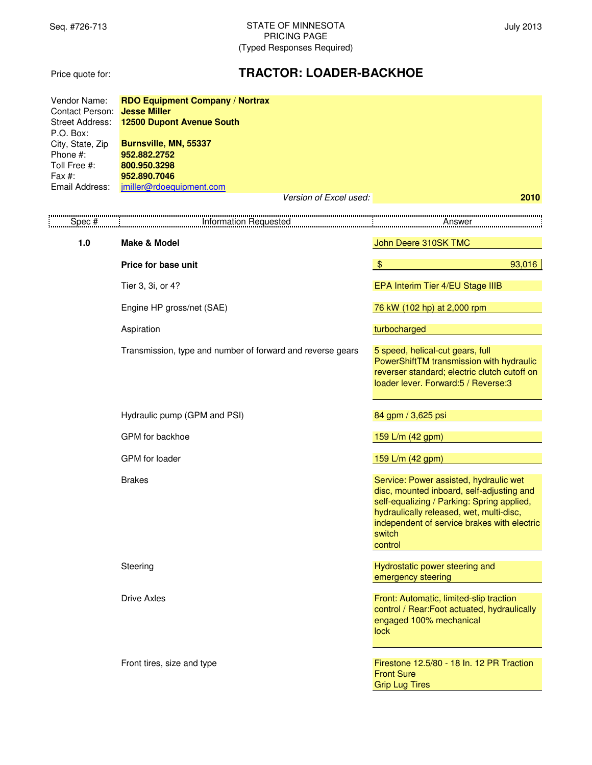Price quote for:

# **TRACTOR: LOADER-BACKHOE**

| Vendor Name:<br>Contact Person:<br><b>Street Address:</b><br>P.O. Box:<br>City, State, Zip<br>Phone #:<br>Toll Free #:<br>Fax #:<br>Email Address: | <b>RDO Equipment Company / Nortrax</b><br><b>Jesse Miller</b><br><b>12500 Dupont Avenue South</b><br>Burnsville, MN, 55337<br>952.882.2752<br>800.950.3298<br>952.890.7046<br>jmiller@rdoequipment.com |                                                                                                                                                                                                                                                   |  |  |
|----------------------------------------------------------------------------------------------------------------------------------------------------|--------------------------------------------------------------------------------------------------------------------------------------------------------------------------------------------------------|---------------------------------------------------------------------------------------------------------------------------------------------------------------------------------------------------------------------------------------------------|--|--|
|                                                                                                                                                    | Version of Excel used:                                                                                                                                                                                 | 2010                                                                                                                                                                                                                                              |  |  |
| Spec #                                                                                                                                             | Information Requested                                                                                                                                                                                  | Answer                                                                                                                                                                                                                                            |  |  |
| $1.0$                                                                                                                                              | <b>Make &amp; Model</b>                                                                                                                                                                                | John Deere 310SK TMC                                                                                                                                                                                                                              |  |  |
|                                                                                                                                                    | Price for base unit                                                                                                                                                                                    | $\frac{1}{2}$<br>93,016                                                                                                                                                                                                                           |  |  |
|                                                                                                                                                    | Tier 3, 3i, or 4?                                                                                                                                                                                      | EPA Interim Tier 4/EU Stage IIIB                                                                                                                                                                                                                  |  |  |
|                                                                                                                                                    | Engine HP gross/net (SAE)                                                                                                                                                                              | 76 kW (102 hp) at 2,000 rpm                                                                                                                                                                                                                       |  |  |
|                                                                                                                                                    | Aspiration                                                                                                                                                                                             | turbocharged                                                                                                                                                                                                                                      |  |  |
|                                                                                                                                                    | Transmission, type and number of forward and reverse gears                                                                                                                                             | 5 speed, helical-cut gears, full<br>PowerShiftTM transmission with hydraulic<br>reverser standard; electric clutch cutoff on<br>loader lever. Forward:5 / Reverse:3                                                                               |  |  |
|                                                                                                                                                    | Hydraulic pump (GPM and PSI)                                                                                                                                                                           | 84 gpm / 3,625 psi                                                                                                                                                                                                                                |  |  |
|                                                                                                                                                    | GPM for backhoe                                                                                                                                                                                        | 159 L/m (42 gpm)                                                                                                                                                                                                                                  |  |  |
|                                                                                                                                                    | GPM for loader                                                                                                                                                                                         | 159 L/m (42 gpm)                                                                                                                                                                                                                                  |  |  |
|                                                                                                                                                    | <b>Brakes</b>                                                                                                                                                                                          | Service: Power assisted, hydraulic wet<br>disc, mounted inboard, self-adjusting and<br>self-equalizing / Parking: Spring applied,<br>hydraulically released, wet, multi-disc,<br>independent of service brakes with electric<br>switch<br>control |  |  |
|                                                                                                                                                    | Steering                                                                                                                                                                                               | Hydrostatic power steering and<br>emergency steering                                                                                                                                                                                              |  |  |
|                                                                                                                                                    | <b>Drive Axles</b>                                                                                                                                                                                     | Front: Automatic, limited-slip traction<br>control / Rear:Foot actuated, hydraulically<br>engaged 100% mechanical<br>lock                                                                                                                         |  |  |
|                                                                                                                                                    | Front tires, size and type                                                                                                                                                                             | Firestone 12.5/80 - 18 In. 12 PR Traction<br><b>Front Sure</b><br><b>Grip Lug Tires</b>                                                                                                                                                           |  |  |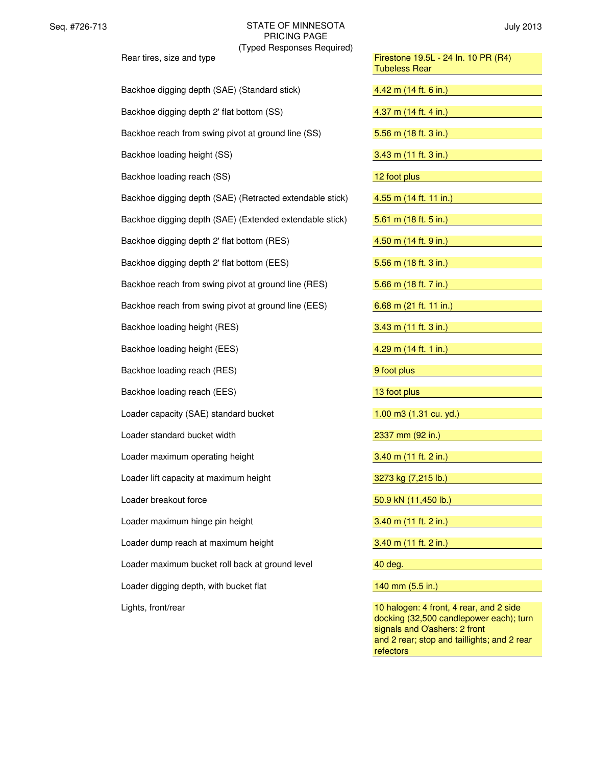| Rear tires, size and type                                | Firestone 19.5L - 24 In. 10 PR (R4)<br><b>Tubeless Rear</b> |  |  |
|----------------------------------------------------------|-------------------------------------------------------------|--|--|
| Backhoe digging depth (SAE) (Standard stick)             | 4.42 m (14 ft. 6 in.)                                       |  |  |
| Backhoe digging depth 2' flat bottom (SS)                | 4.37 m (14 ft. 4 in.)                                       |  |  |
| Backhoe reach from swing pivot at ground line (SS)       | 5.56 m (18 ft. 3 in.)                                       |  |  |
| Backhoe loading height (SS)                              | 3.43 m (11 ft. 3 in.)                                       |  |  |
| Backhoe loading reach (SS)                               | 12 foot plus                                                |  |  |
| Backhoe digging depth (SAE) (Retracted extendable stick) | 4.55 m (14 ft. 11 in.)                                      |  |  |
| Backhoe digging depth (SAE) (Extended extendable stick)  | 5.61 m (18 ft. 5 in.)                                       |  |  |
| Backhoe digging depth 2' flat bottom (RES)               | 4.50 m (14 ft. 9 in.)                                       |  |  |
| Backhoe digging depth 2' flat bottom (EES)               | 5.56 m (18 ft. 3 in.)                                       |  |  |
| Backhoe reach from swing pivot at ground line (RES)      | 5.66 m (18 ft. 7 in.)                                       |  |  |
| Backhoe reach from swing pivot at ground line (EES)      | 6.68 m (21 ft. 11 in.)                                      |  |  |
| Backhoe loading height (RES)                             | 3.43 m (11 ft. 3 in.)                                       |  |  |
| Backhoe loading height (EES)                             | 4.29 m (14 ft. 1 in.)                                       |  |  |
| Backhoe loading reach (RES)                              | 9 foot plus                                                 |  |  |
| Backhoe loading reach (EES)                              | 13 foot plus                                                |  |  |
| Loader capacity (SAE) standard bucket                    | $1.00$ m $3(1.31$ cu. yd.)                                  |  |  |
| Loader standard bucket width                             | 2337 mm (92 in.)                                            |  |  |
| Loader maximum operating height                          | 3.40 m (11 ft. 2 in.)                                       |  |  |
| Loader lift capacity at maximum height                   | 3273 kg (7,215 lb.)                                         |  |  |
| Loader breakout force                                    | 50.9 kN (11,450 lb.)                                        |  |  |
| Loader maximum hinge pin height                          | 3.40 m (11 ft. 2 in.)                                       |  |  |
| Loader dump reach at maximum height                      | 3.40 m (11 ft. 2 in.)                                       |  |  |
| Loader maximum bucket roll back at ground level          | 40 deg.                                                     |  |  |
| Loader digging depth, with bucket flat                   | 140 mm (5.5 in.)                                            |  |  |
| Lights, front/rear                                       | 10 halogen: 4 front, 4 rear, and 2 side                     |  |  |

| Firestone 19.5L - 24 In. 10 PR (R4)<br><b>Tubeless Rear</b>                        |
|------------------------------------------------------------------------------------|
| 4.42 m (14 ft. 6 in.)                                                              |
| 4.37 m (14 ft. 4 in.)                                                              |
| 5.56 m (18 ft. 3 in.)                                                              |
| 3.43 m (11 ft. 3 in.)                                                              |
| 12 foot plus                                                                       |
| 4.55 m (14 ft. 11 in.)                                                             |
| 5.61 m $(18 ft. 5 in.)$                                                            |
| 4.50 m (14 ft. 9 in.)                                                              |
| 5.56 m (18 ft. 3 in.)                                                              |
| 5.66 m (18 ft. 7 in.)                                                              |
| 6.68 m (21 ft. 11 in.)                                                             |
| $3.43$ m (11 ft. 3 in.)                                                            |
| 4.29 m (14 ft. 1 in.)                                                              |
| 9 foot plus                                                                        |
| 13 foot plus                                                                       |
| 1.00 m3 (1.31 cu. yd.)                                                             |
| 2337 mm (92 in.)                                                                   |
| 3.40 m (11 ft. 2 in.)                                                              |
| 3273 kg (7,215 lb.)                                                                |
| 50.9 kN (11,450 lb.)                                                               |
| 3.40 m (11 ft. 2 in.)                                                              |
| $3.40$ m (11 ft. 2 in.)                                                            |
| 40 deg.                                                                            |
| 140 mm (5.5 in.)                                                                   |
| 10 halogen: 4 front, 4 rear, and 2 side<br>docking (32,500 candlepower each); turn |

signals and *O*'ashers: 2 front and 2 rear; stop and taillights; and 2 rear refectors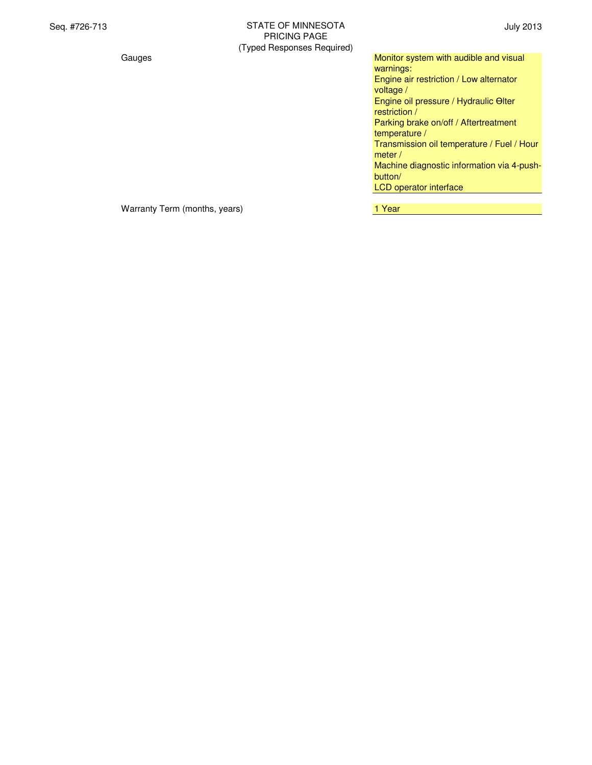| Gauges | Monitor system with audible and visual     |
|--------|--------------------------------------------|
|        | warnings:                                  |
|        | Engine air restriction / Low alternator    |
|        | voltage /                                  |
|        | Engine oil pressure / Hydraulic Olter      |
|        | restriction /                              |
|        | Parking brake on/off / Aftertreatment      |
|        | temperature /                              |
|        | Transmission oil temperature / Fuel / Hour |
|        | meter $/$                                  |
|        | Machine diagnostic information via 4-push- |
|        | button/                                    |
|        | LCD operator interface                     |
|        |                                            |

Warranty Term (months, years) Market Controller Market Market Market Market Market Market Market Market Market M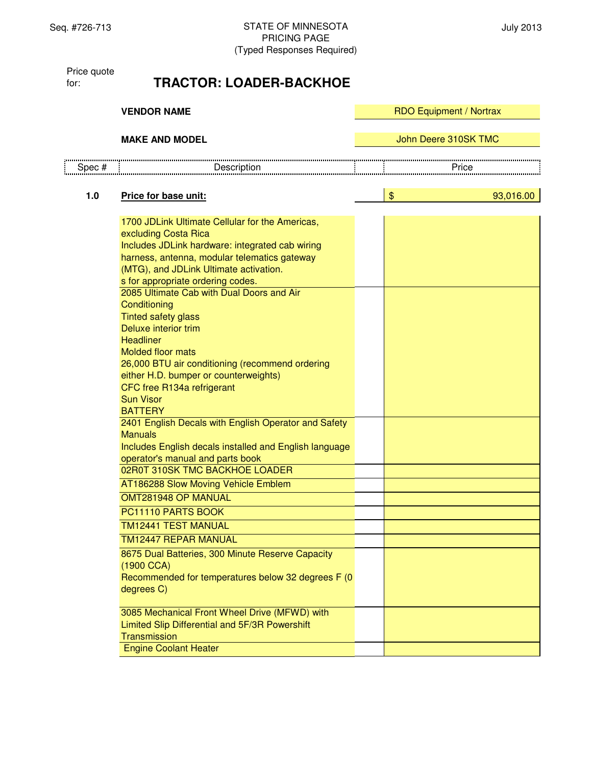Price quote for:

# **TRACTOR: LOADER-BACKHOE**

|        | <b>VENDOR NAME</b>                                                                                                                                                                                                                                                                                                                                                                                                                                                                                                                                                                                                                                                                                                                                                                                                                                                                                                                                                                                                                                                                            |  | <b>RDO Equipment / Nortrax</b> |                      |  |  |
|--------|-----------------------------------------------------------------------------------------------------------------------------------------------------------------------------------------------------------------------------------------------------------------------------------------------------------------------------------------------------------------------------------------------------------------------------------------------------------------------------------------------------------------------------------------------------------------------------------------------------------------------------------------------------------------------------------------------------------------------------------------------------------------------------------------------------------------------------------------------------------------------------------------------------------------------------------------------------------------------------------------------------------------------------------------------------------------------------------------------|--|--------------------------------|----------------------|--|--|
|        | <b>MAKE AND MODEL</b>                                                                                                                                                                                                                                                                                                                                                                                                                                                                                                                                                                                                                                                                                                                                                                                                                                                                                                                                                                                                                                                                         |  |                                | John Deere 310SK TMC |  |  |
| Spec # | Description                                                                                                                                                                                                                                                                                                                                                                                                                                                                                                                                                                                                                                                                                                                                                                                                                                                                                                                                                                                                                                                                                   |  |                                | Price                |  |  |
| 1.0    | Price for base unit:                                                                                                                                                                                                                                                                                                                                                                                                                                                                                                                                                                                                                                                                                                                                                                                                                                                                                                                                                                                                                                                                          |  | \$                             | 93,016.00            |  |  |
|        | 1700 JDLink Ultimate Cellular for the Americas,<br>excluding Costa Rica<br>Includes JDLink hardware: integrated cab wiring<br>harness, antenna, modular telematics gateway<br>(MTG), and JDLink Ultimate activation.<br>s for appropriate ordering codes.<br>2085 Ultimate Cab with Dual Doors and Air<br>Conditioning<br><b>Tinted safety glass</b><br>Deluxe interior trim<br><b>Headliner</b><br><b>Molded floor mats</b><br>26,000 BTU air conditioning (recommend ordering<br>either H.D. bumper or counterweights)<br>CFC free R134a refrigerant<br><b>Sun Visor</b><br><b>BATTERY</b><br>2401 English Decals with English Operator and Safety<br><b>Manuals</b><br>Includes English decals installed and English language<br>operator's manual and parts book<br>02R0T 310SK TMC BACKHOE LOADER<br>AT186288 Slow Moving Vehicle Emblem<br>OMT281948 OP MANUAL<br>PC11110 PARTS BOOK<br><b>TM12441 TEST MANUAL</b><br><b>TM12447 REPAR MANUAL</b><br>8675 Dual Batteries, 300 Minute Reserve Capacity<br>(1900 CCA)<br>Recommended for temperatures below 32 degrees F (0<br>degrees C) |  |                                |                      |  |  |
|        | 3085 Mechanical Front Wheel Drive (MFWD) with<br>Limited Slip Differential and 5F/3R Powershift<br>Transmission                                                                                                                                                                                                                                                                                                                                                                                                                                                                                                                                                                                                                                                                                                                                                                                                                                                                                                                                                                               |  |                                |                      |  |  |
|        | <b>Engine Coolant Heater</b>                                                                                                                                                                                                                                                                                                                                                                                                                                                                                                                                                                                                                                                                                                                                                                                                                                                                                                                                                                                                                                                                  |  |                                |                      |  |  |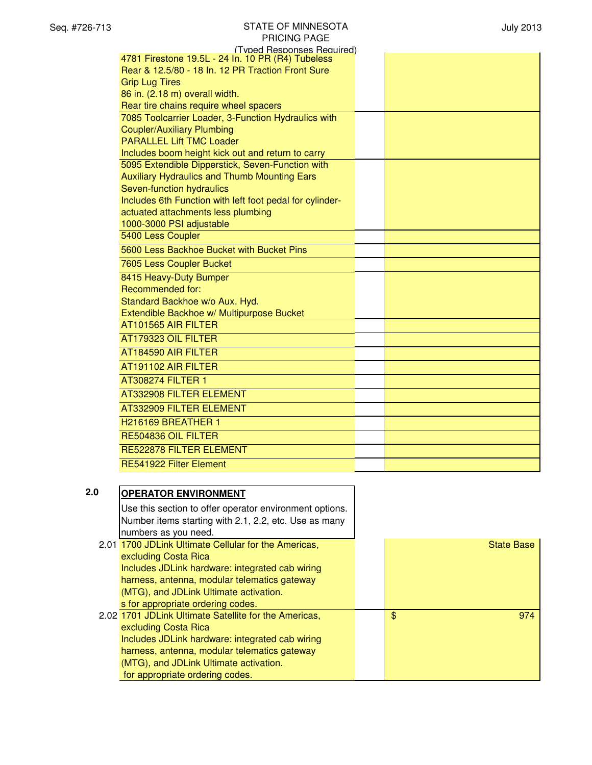| Seq. #726-713 | <b>STATE OF MINNESOTA</b><br><b>PRICING PAGE</b>         | <b>July 2013</b> |
|---------------|----------------------------------------------------------|------------------|
|               | (Typed Responses Required)                               |                  |
|               | 4781 Firestone 19.5L - 24 In. 10 PR (R4) Tubeless        |                  |
|               | Rear & 12.5/80 - 18 In. 12 PR Traction Front Sure        |                  |
|               | <b>Grip Lug Tires</b><br>86 in. (2.18 m) overall width.  |                  |
|               | Rear tire chains require wheel spacers                   |                  |
|               | 7085 Toolcarrier Loader, 3-Function Hydraulics with      |                  |
|               | <b>Coupler/Auxiliary Plumbing</b>                        |                  |
|               | <b>PARALLEL Lift TMC Loader</b>                          |                  |
|               | Includes boom height kick out and return to carry        |                  |
|               | 5095 Extendible Dipperstick, Seven-Function with         |                  |
|               | <b>Auxiliary Hydraulics and Thumb Mounting Ears</b>      |                  |
|               | Seven-function hydraulics                                |                  |
|               | Includes 6th Function with left foot pedal for cylinder- |                  |
|               | actuated attachments less plumbing                       |                  |
|               | 1000-3000 PSI adjustable                                 |                  |
|               | 5400 Less Coupler                                        |                  |
|               | 5600 Less Backhoe Bucket with Bucket Pins                |                  |
|               | 7605 Less Coupler Bucket                                 |                  |
|               | 8415 Heavy-Duty Bumper                                   |                  |
|               | Recommended for:                                         |                  |
|               | Standard Backhoe w/o Aux. Hyd.                           |                  |
|               | Extendible Backhoe w/ Multipurpose Bucket                |                  |
|               | AT101565 AIR FILTER                                      |                  |
|               | AT179323 OIL FILTER                                      |                  |
|               | AT184590 AIR FILTER                                      |                  |
|               | AT191102 AIR FILTER                                      |                  |
|               | <b>AT308274 FILTER 1</b>                                 |                  |
|               | AT332908 FILTER ELEMENT                                  |                  |
|               | AT332909 FILTER ELEMENT                                  |                  |
|               | H216169 BREATHER 1                                       |                  |
|               | RE504836 OIL FILTER                                      |                  |
|               | RE522878 FILTER ELEMENT                                  |                  |
|               | RE541922 Filter Element                                  |                  |
|               |                                                          |                  |
| 2.0           | <b>OPERATOR ENVIRONMENT</b>                              |                  |

| .U | <b>OPERATOR ENVIRONMENT</b>                             |                   |
|----|---------------------------------------------------------|-------------------|
|    | Use this section to offer operator environment options. |                   |
|    | Number items starting with 2.1, 2.2, etc. Use as many   |                   |
|    | numbers as you need.                                    |                   |
|    | 2.01 1700 JDLink Ultimate Cellular for the Americas,    | <b>State Base</b> |
|    | excluding Costa Rica                                    |                   |
|    | Includes JDLink hardware: integrated cab wiring         |                   |
|    | harness, antenna, modular telematics gateway            |                   |
|    | (MTG), and JDLink Ultimate activation.                  |                   |
|    | s for appropriate ordering codes.                       |                   |
|    | 2.02 1701 JDLink Ultimate Satellite for the Americas,   | \$<br>974         |
|    | excluding Costa Rica                                    |                   |
|    | Includes JDLink hardware: integrated cab wiring         |                   |
|    | harness, antenna, modular telematics gateway            |                   |
|    | (MTG), and JDLink Ultimate activation.                  |                   |
|    | for appropriate ordering codes.                         |                   |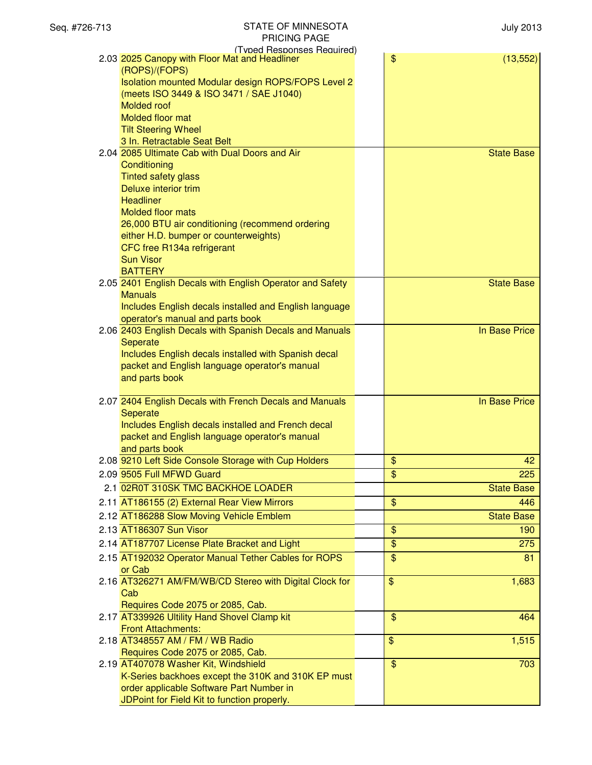| Seq. #726-713 | <b>STATE OF MINNESOTA</b><br><b>PRICING PAGE</b>                                        | <b>July 2013</b>                  |
|---------------|-----------------------------------------------------------------------------------------|-----------------------------------|
|               | (Typed Responses Required)<br>2.03 2025 Canopy with Floor Mat and Headliner             | \$<br>(13, 552)                   |
|               | (ROPS)/(FOPS)<br>Isolation mounted Modular design ROPS/FOPS Level 2                     |                                   |
|               | (meets ISO 3449 & ISO 3471 / SAE J1040)                                                 |                                   |
|               | Molded roof                                                                             |                                   |
|               | Molded floor mat                                                                        |                                   |
|               | <b>Tilt Steering Wheel</b>                                                              |                                   |
|               | 3 In. Retractable Seat Belt                                                             |                                   |
|               | 2.04 2085 Ultimate Cab with Dual Doors and Air                                          | <b>State Base</b>                 |
|               | Conditioning<br><b>Tinted safety glass</b>                                              |                                   |
|               | Deluxe interior trim                                                                    |                                   |
|               | <b>Headliner</b>                                                                        |                                   |
|               | <b>Molded floor mats</b>                                                                |                                   |
|               | 26,000 BTU air conditioning (recommend ordering                                         |                                   |
|               | either H.D. bumper or counterweights)                                                   |                                   |
|               | CFC free R134a refrigerant                                                              |                                   |
|               | <b>Sun Visor</b>                                                                        |                                   |
|               | <b>BATTERY</b><br>2.05 2401 English Decals with English Operator and Safety             | <b>State Base</b>                 |
|               | <b>Manuals</b>                                                                          |                                   |
|               | Includes English decals installed and English language                                  |                                   |
|               | operator's manual and parts book                                                        |                                   |
|               | 2.06 2403 English Decals with Spanish Decals and Manuals                                | In Base Price                     |
|               | Seperate                                                                                |                                   |
|               | Includes English decals installed with Spanish decal                                    |                                   |
|               | packet and English language operator's manual                                           |                                   |
|               | and parts book                                                                          |                                   |
|               | 2.07 2404 English Decals with French Decals and Manuals                                 | In Base Price                     |
|               | Seperate                                                                                |                                   |
|               | Includes English decals installed and French decal                                      |                                   |
|               | packet and English language operator's manual                                           |                                   |
|               | and parts book                                                                          |                                   |
|               | 2.08 9210 Left Side Console Storage with Cup Holders<br>2.09 9505 Full MFWD Guard       | \$<br>42<br>$\mathfrak{S}$<br>225 |
|               | 2.1 02R0T 310SK TMC BACKHOE LOADER                                                      |                                   |
|               |                                                                                         | <b>State Base</b>                 |
|               | 2.11 AT186155 (2) External Rear View Mirrors                                            | $\frac{1}{2}$<br>446              |
|               | 2.12 AT186288 Slow Moving Vehicle Emblem<br>2.13 AT186307 Sun Visor                     | <b>State Base</b>                 |
|               |                                                                                         | \$<br>190                         |
|               | 2.14 AT187707 License Plate Bracket and Light                                           | \$<br>275                         |
|               | 2.15 AT192032 Operator Manual Tether Cables for ROPS                                    | \$<br>81                          |
|               | or Cab<br>2.16 AT326271 AM/FM/WB/CD Stereo with Digital Clock for                       | $\frac{1}{2}$<br>1,683            |
|               | Cab                                                                                     |                                   |
|               | Requires Code 2075 or 2085, Cab.                                                        |                                   |
|               | 2.17 AT339926 Ultility Hand Shovel Clamp kit                                            | $\frac{1}{2}$<br>464              |
|               | <b>Front Attachments:</b>                                                               |                                   |
|               | 2.18 AT348557 AM / FM / WB Radio                                                        | \$<br>1,515                       |
|               | Requires Code 2075 or 2085, Cab.                                                        |                                   |
|               | 2.19 AT407078 Washer Kit, Windshield                                                    | $\frac{1}{2}$<br>703              |
|               | K-Series backhoes except the 310K and 310K EP must                                      |                                   |
|               | order applicable Software Part Number in<br>JDPoint for Field Kit to function properly. |                                   |
|               |                                                                                         |                                   |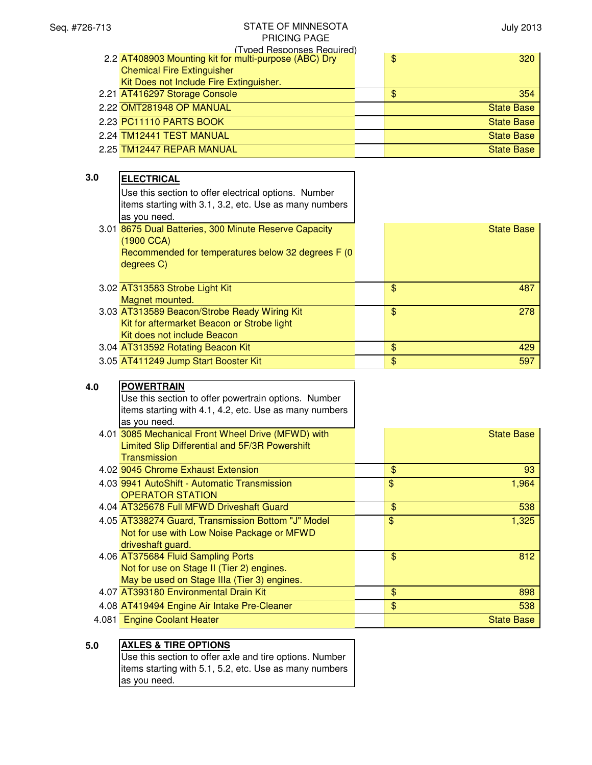| (Typed Responses Required) |                                                       |  |                      |
|----------------------------|-------------------------------------------------------|--|----------------------|
|                            | 2.2 AT408903 Mounting kit for multi-purpose (ABC) Dry |  | $\frac{1}{2}$<br>320 |
|                            | <b>Chemical Fire Extinguisher</b>                     |  |                      |
|                            | Kit Does not Include Fire Extinguisher.               |  |                      |
|                            | 2.21 AT416297 Storage Console                         |  | \$<br>354            |
|                            | 2.22 OMT281948 OP MANUAL                              |  | <b>State Base</b>    |
|                            | 2.23 PC11110 PARTS BOOK                               |  | <b>State Base</b>    |
|                            | 2.24 TM12441 TEST MANUAL                              |  | <b>State Base</b>    |
|                            | 2.25 TM12447 REPAR MANUAL                             |  | <b>State Base</b>    |
|                            |                                                       |  |                      |

| 3.0 | <b>ELECTRICAL</b>                                      |       |                   |
|-----|--------------------------------------------------------|-------|-------------------|
|     | Use this section to offer electrical options. Number   |       |                   |
|     | items starting with 3.1, 3.2, etc. Use as many numbers |       |                   |
|     | as you need.                                           |       |                   |
|     | 3.01 8675 Dual Batteries, 300 Minute Reserve Capacity  |       | <b>State Base</b> |
|     | (1900 CCA)                                             |       |                   |
|     | Recommended for temperatures below 32 degrees F (0)    |       |                   |
|     | degrees C)                                             |       |                   |
|     |                                                        |       |                   |
|     | 3.02 AT313583 Strobe Light Kit                         | \$    | 487               |
|     | Magnet mounted.                                        |       |                   |
|     | 3.03 AT313589 Beacon/Strobe Ready Wiring Kit           | $\$\$ | 278               |
|     | Kit for aftermarket Beacon or Strobe light             |       |                   |
|     | Kit does not include Beacon                            |       |                   |
|     | 3.04 AT313592 Rotating Beacon Kit                      | \$    | 429               |
|     | 3.05 AT411249 Jump Start Booster Kit                   | \$    | 597               |

# **4.0 POWERTRAIN** Use this section to offer powertrain options. Number items starting with 4.1, 4.2, etc. Use as many numbers as you need.

| 4.01 3085 Mechanical Front Wheel Drive (MFWD) with | <b>State Base</b> |
|----------------------------------------------------|-------------------|
| Limited Slip Differential and 5F/3R Powershift     |                   |
| <b>Transmission</b>                                |                   |
| 4.02 9045 Chrome Exhaust Extension                 | \$<br>93          |
| 4.03 9941 AutoShift - Automatic Transmission       | \$<br>1,964       |
| <b>OPERATOR STATION</b>                            |                   |
| 4.04 AT325678 Full MFWD Driveshaft Guard           | \$<br>538         |
| 4.05 AT338274 Guard, Transmission Bottom "J" Model | \$<br>1,325       |
| Not for use with Low Noise Package or MFWD         |                   |
| driveshaft guard.                                  |                   |
| 4.06 AT375684 Fluid Sampling Ports                 | \$<br>812         |
| Not for use on Stage II (Tier 2) engines.          |                   |
| May be used on Stage IIIa (Tier 3) engines.        |                   |
| 4.07 AT393180 Environmental Drain Kit              | \$<br>898         |
| 4.08 AT419494 Engine Air Intake Pre-Cleaner        | \$<br>538         |
| 4.081 Engine Coolant Heater                        | <b>State Base</b> |

| ٠            |    |
|--------------|----|
| I<br>×<br>۰, | ۰. |

# **5.0 AXLES & TIRE OPTIONS**

Use this section to offer axle and tire options. Number items starting with 5.1, 5.2, etc. Use as many numbers as you need.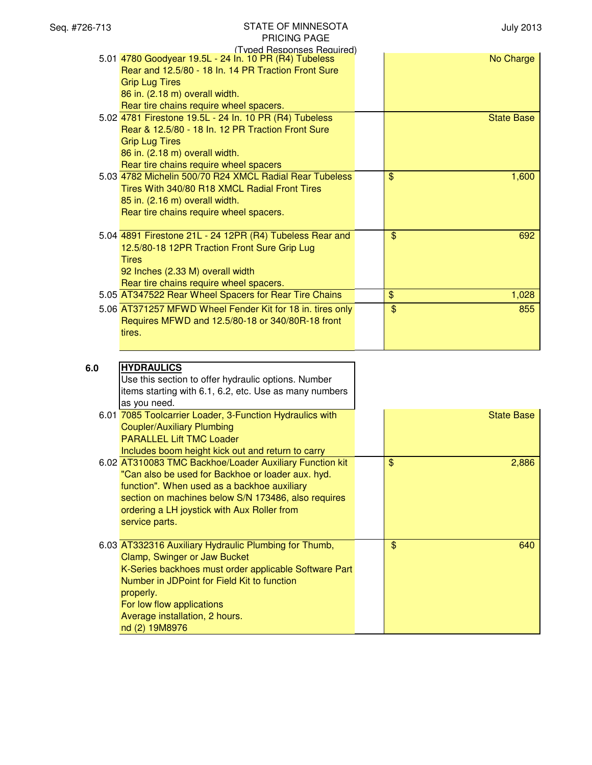| Seq. #726-713 | <b>STATE OF MINNESOTA</b><br><b>PRICING PAGE</b>          |                | <b>July 2013</b>  |
|---------------|-----------------------------------------------------------|----------------|-------------------|
|               | (Typed Responses Required)                                |                |                   |
|               | 5.01 4780 Goodyear 19.5L - 24 In. 10 PR (R4) Tubeless     |                | No Charge         |
|               | Rear and 12.5/80 - 18 In. 14 PR Traction Front Sure       |                |                   |
|               | <b>Grip Lug Tires</b><br>86 in. (2.18 m) overall width.   |                |                   |
|               | Rear tire chains require wheel spacers.                   |                |                   |
|               | 5.02 4781 Firestone 19.5L - 24 In. 10 PR (R4) Tubeless    |                | <b>State Base</b> |
|               | Rear & 12.5/80 - 18 In. 12 PR Traction Front Sure         |                |                   |
|               | <b>Grip Lug Tires</b>                                     |                |                   |
|               | 86 in. (2.18 m) overall width.                            |                |                   |
|               | Rear tire chains require wheel spacers                    |                |                   |
|               | 5.03 4782 Michelin 500/70 R24 XMCL Radial Rear Tubeless   | $\mathfrak{S}$ | 1,600             |
|               | Tires With 340/80 R18 XMCL Radial Front Tires             |                |                   |
|               | 85 in. (2.16 m) overall width.                            |                |                   |
|               | Rear tire chains require wheel spacers.                   |                |                   |
|               |                                                           |                |                   |
|               | 5.04 4891 Firestone 21L - 24 12PR (R4) Tubeless Rear and  | \$             | 692               |
|               | 12.5/80-18 12PR Traction Front Sure Grip Lug              |                |                   |
|               | <b>Tires</b>                                              |                |                   |
|               | 92 Inches (2.33 M) overall width                          |                |                   |
|               | Rear tire chains require wheel spacers.                   |                |                   |
|               | 5.05 AT347522 Rear Wheel Spacers for Rear Tire Chains     | \$             | 1,028             |
|               | 5.06 AT371257 MFWD Wheel Fender Kit for 18 in. tires only | $\frac{1}{2}$  | 855               |
|               | Requires MFWD and 12.5/80-18 or 340/80R-18 front          |                |                   |
|               | tires.                                                    |                |                   |
|               |                                                           |                |                   |
|               | <b>HYDRAULICS</b>                                         |                |                   |
| 6.0           | Use this section to offer hydraulic options. Number       |                |                   |
|               | items starting with 6.1, 6.2, etc. Use as many numbers    |                |                   |
|               | as you need.                                              |                |                   |
|               | 6.01 7085 Toolcarrier Loader, 3-Function Hydraulics with  |                | <b>State Base</b> |
|               | <b>Coupler/Auxiliary Plumbing</b>                         |                |                   |
|               | <b>PARALLEL Lift TMC Loader</b>                           |                |                   |
|               | Includes boom height kick out and return to carry         |                |                   |
|               | 6.02 AT310083 TMC Backhoe/Loader Auxiliary Function kit   | $\mathfrak{S}$ | 2,886             |
|               | "Can also be used for Backhoe or loader aux. hyd.         |                |                   |
|               | function". When used as a backhoe auxiliary               |                |                   |
|               | section on machines below S/N 173486, also requires       |                |                   |
|               | ordering a LH joystick with Aux Roller from               |                |                   |
|               | service parts.                                            |                |                   |
|               |                                                           |                |                   |
|               | 6.03 AT332316 Auxiliary Hydraulic Plumbing for Thumb,     | $\frac{1}{2}$  | 640               |
|               | Clamp, Swinger or Jaw Bucket                              |                |                   |
|               | K-Series backhoes must order applicable Software Part     |                |                   |
|               | Number in JDPoint for Field Kit to function               |                |                   |
|               | properly.                                                 |                |                   |
|               | For low flow applications                                 |                |                   |
|               | Average installation, 2 hours.                            |                |                   |
|               | nd (2) 19M8976                                            |                |                   |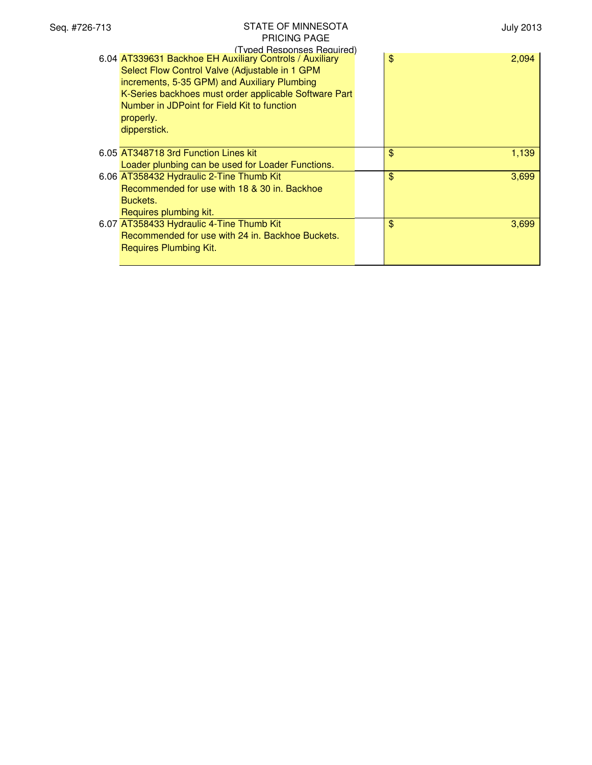| Seq. #726-713 | <b>STATE OF MINNESOTA</b>                                                                                                                                                                                                                                                                                                    | <b>July 2013</b> |
|---------------|------------------------------------------------------------------------------------------------------------------------------------------------------------------------------------------------------------------------------------------------------------------------------------------------------------------------------|------------------|
|               | <b>PRICING PAGE</b>                                                                                                                                                                                                                                                                                                          |                  |
|               | (Typed Responses Required)<br>6.04 AT339631 Backhoe EH Auxiliary Controls / Auxiliary<br>Select Flow Control Valve (Adjustable in 1 GPM<br>increments, 5-35 GPM) and Auxiliary Plumbing<br>K-Series backhoes must order applicable Software Part<br>Number in JDPoint for Field Kit to function<br>properly.<br>dipperstick. | \$<br>2,094      |
|               | 6.05 AT348718 3rd Function Lines kit                                                                                                                                                                                                                                                                                         | \$<br>1,139      |
|               | Loader plunbing can be used for Loader Functions.                                                                                                                                                                                                                                                                            |                  |
|               | 6.06 AT358432 Hydraulic 2-Tine Thumb Kit<br>Recommended for use with 18 & 30 in. Backhoe<br>Buckets.                                                                                                                                                                                                                         | \$<br>3,699      |
|               | Requires plumbing kit.<br>6.07 AT358433 Hydraulic 4-Tine Thumb Kit<br>Recommended for use with 24 in. Backhoe Buckets.<br>Requires Plumbing Kit.                                                                                                                                                                             | \$<br>3,699      |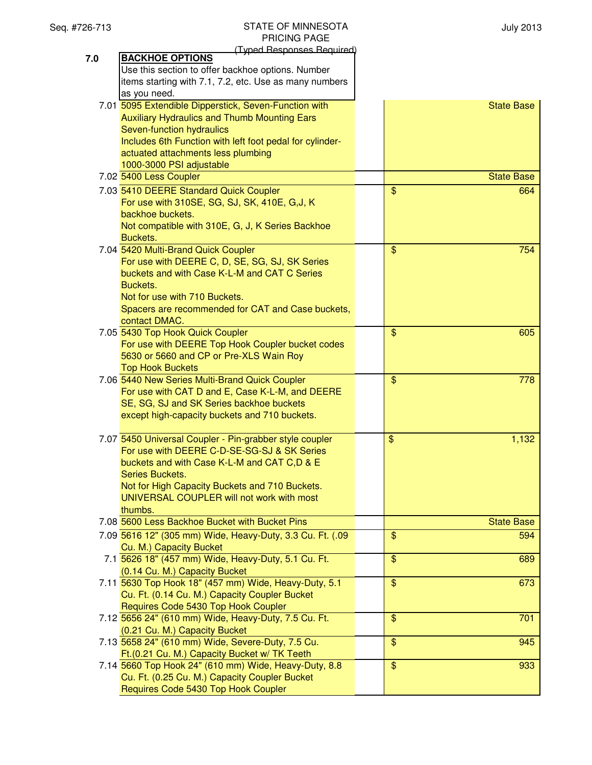July 2013

|     | (Typed Responses Required)                                |                       |
|-----|-----------------------------------------------------------|-----------------------|
| 7.0 | <b>BACKHOE OPTIONS</b>                                    |                       |
|     | Use this section to offer backhoe options. Number         |                       |
|     | items starting with 7.1, 7.2, etc. Use as many numbers    |                       |
|     | as you need.                                              |                       |
|     | 7.01 5095 Extendible Dipperstick, Seven-Function with     | <b>State Base</b>     |
|     | <b>Auxiliary Hydraulics and Thumb Mounting Ears</b>       |                       |
|     | Seven-function hydraulics                                 |                       |
|     | Includes 6th Function with left foot pedal for cylinder-  |                       |
|     | actuated attachments less plumbing                        |                       |
|     | 1000-3000 PSI adjustable                                  |                       |
|     | 7.02 5400 Less Coupler                                    | <b>State Base</b>     |
|     | 7.03 5410 DEERE Standard Quick Coupler                    | $\mathbf{\$}$<br>664  |
|     | For use with 310SE, SG, SJ, SK, 410E, G, J, K             |                       |
|     | backhoe buckets.                                          |                       |
|     | Not compatible with 310E, G, J, K Series Backhoe          |                       |
|     | Buckets.                                                  |                       |
|     | 7.04 5420 Multi-Brand Quick Coupler                       | $\mathbf{\$}$<br>754  |
|     | For use with DEERE C, D, SE, SG, SJ, SK Series            |                       |
|     | buckets and with Case K-L-M and CAT C Series              |                       |
|     | Buckets.                                                  |                       |
|     | Not for use with 710 Buckets.                             |                       |
|     | Spacers are recommended for CAT and Case buckets,         |                       |
|     | contact DMAC.                                             |                       |
|     | 7.05 5430 Top Hook Quick Coupler                          | $\mathbf{\$}$<br>605  |
|     | For use with DEERE Top Hook Coupler bucket codes          |                       |
|     | 5630 or 5660 and CP or Pre-XLS Wain Roy                   |                       |
|     | <b>Top Hook Buckets</b>                                   |                       |
|     | 7.06 5440 New Series Multi-Brand Quick Coupler            | $\frac{1}{2}$<br>778  |
|     | For use with CAT D and E, Case K-L-M, and DEERE           |                       |
|     | SE, SG, SJ and SK Series backhoe buckets                  |                       |
|     | except high-capacity buckets and 710 buckets.             |                       |
|     |                                                           |                       |
|     | 7.07 5450 Universal Coupler - Pin-grabber style coupler   | \$<br>1,132           |
|     | For use with DEERE C-D-SE-SG-SJ & SK Series               |                       |
|     | buckets and with Case K-L-M and CAT C,D & E               |                       |
|     | Series Buckets.                                           |                       |
|     | Not for High Capacity Buckets and 710 Buckets.            |                       |
|     | UNIVERSAL COUPLER will not work with most                 |                       |
|     | thumbs.                                                   |                       |
|     | 7.08 5600 Less Backhoe Bucket with Bucket Pins            | <b>State Base</b>     |
|     | 7.09 5616 12" (305 mm) Wide, Heavy-Duty, 3.3 Cu. Ft. (.09 | $\mathfrak{S}$<br>594 |
|     | Cu. M.) Capacity Bucket                                   |                       |
|     | 7.1 5626 18" (457 mm) Wide, Heavy-Duty, 5.1 Cu. Ft.       | $\frac{1}{2}$<br>689  |
|     | (0.14 Cu. M.) Capacity Bucket                             |                       |
|     | 7.11 5630 Top Hook 18" (457 mm) Wide, Heavy-Duty, 5.1     | $\frac{1}{2}$<br>673  |
|     | Cu. Ft. (0.14 Cu. M.) Capacity Coupler Bucket             |                       |
|     | Requires Code 5430 Top Hook Coupler                       |                       |
|     | 7.12 5656 24" (610 mm) Wide, Heavy-Duty, 7.5 Cu. Ft.      | $\frac{1}{2}$<br>701  |
|     | (0.21 Cu. M.) Capacity Bucket                             |                       |
|     | 7.13 5658 24" (610 mm) Wide, Severe-Duty, 7.5 Cu.         | $\frac{1}{2}$<br>945  |
|     | Ft.(0.21 Cu. M.) Capacity Bucket w/ TK Teeth              |                       |
|     | 7.14 5660 Top Hook 24" (610 mm) Wide, Heavy-Duty, 8.8     | $\frac{1}{2}$<br>933  |
|     | Cu. Ft. (0.25 Cu. M.) Capacity Coupler Bucket             |                       |
|     | Requires Code 5430 Top Hook Coupler                       |                       |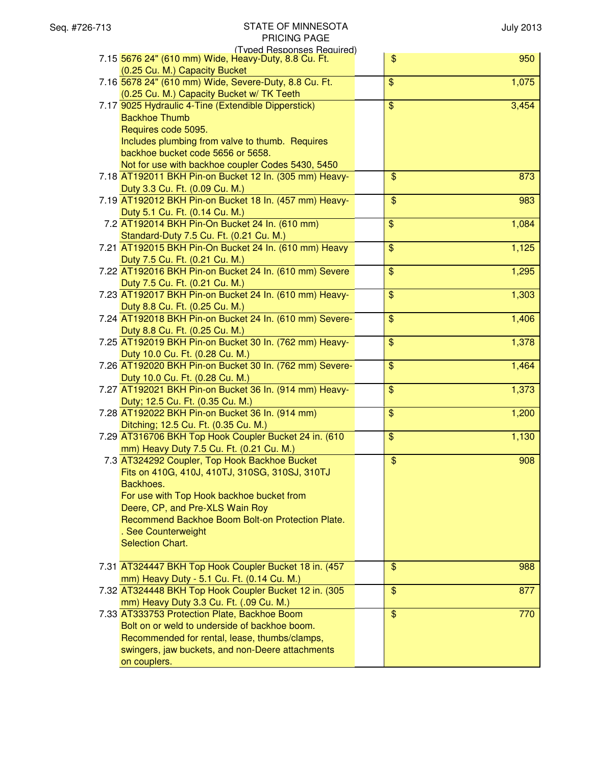| (Typed Responses Required)                                                                    |                                   |
|-----------------------------------------------------------------------------------------------|-----------------------------------|
| 7.15 5676 24" (610 mm) Wide, Heavy-Duty, 8.8 Cu. Ft.                                          | \$<br>950                         |
| (0.25 Cu. M.) Capacity Bucket                                                                 |                                   |
| 7.16 5678 24" (610 mm) Wide, Severe-Duty, 8.8 Cu. Ft.                                         | 1,075<br>\$                       |
| (0.25 Cu. M.) Capacity Bucket w/ TK Teeth                                                     |                                   |
| 7.17 9025 Hydraulic 4-Tine (Extendible Dipperstick)                                           | 3,454<br>\$                       |
| <b>Backhoe Thumb</b>                                                                          |                                   |
| Requires code 5095.                                                                           |                                   |
| Includes plumbing from valve to thumb. Requires                                               |                                   |
| backhoe bucket code 5656 or 5658.                                                             |                                   |
| Not for use with backhoe coupler Codes 5430, 5450                                             |                                   |
| 7.18 AT192011 BKH Pin-on Bucket 12 In. (305 mm) Heavy-                                        | $\frac{1}{2}$<br>873              |
| Duty 3.3 Cu. Ft. (0.09 Cu. M.)                                                                |                                   |
| 7.19 AT192012 BKH Pin-on Bucket 18 In. (457 mm) Heavy-                                        | $\overline{\mathcal{S}}$<br>983   |
| Duty 5.1 Cu. Ft. (0.14 Cu. M.)                                                                |                                   |
| 7.2 AT192014 BKH Pin-On Bucket 24 In. (610 mm)                                                | $\mathfrak{S}$<br>1,084           |
| Standard-Duty 7.5 Cu. Ft. (0.21 Cu. M.)                                                       |                                   |
| 7.21 AT192015 BKH Pin-On Bucket 24 In. (610 mm) Heavy                                         | \$<br>1,125                       |
| Duty 7.5 Cu. Ft. (0.21 Cu. M.)                                                                |                                   |
| 7.22 AT192016 BKH Pin-on Bucket 24 In. (610 mm) Severe                                        | \$<br>1,295                       |
| Duty 7.5 Cu. Ft. (0.21 Cu. M.)                                                                |                                   |
| 7.23 AT192017 BKH Pin-on Bucket 24 In. (610 mm) Heavy-                                        | $\overline{\mathbf{S}}$<br>1,303  |
| Duty 8.8 Cu. Ft. (0.25 Cu. M.)                                                                |                                   |
| 7.24 AT192018 BKH Pin-on Bucket 24 In. (610 mm) Severe-                                       | \$<br>1,406                       |
| Duty 8.8 Cu. Ft. (0.25 Cu. M.)                                                                |                                   |
| 7.25 AT192019 BKH Pin-on Bucket 30 In. (762 mm) Heavy-                                        | \$<br>1,378                       |
| Duty 10.0 Cu. Ft. (0.28 Cu. M.)                                                               |                                   |
| 7.26 AT192020 BKH Pin-on Bucket 30 In. (762 mm) Severe-                                       | \$<br>1,464                       |
| Duty 10.0 Cu. Ft. (0.28 Cu. M.)                                                               |                                   |
| 7.27 AT192021 BKH Pin-on Bucket 36 In. (914 mm) Heavy-                                        | $\overline{\mathcal{S}}$<br>1,373 |
| Duty; 12.5 Cu. Ft. (0.35 Cu. M.)                                                              | $\overline{\mathcal{S}}$          |
| 7.28 AT192022 BKH Pin-on Bucket 36 In. (914 mm)                                               | 1,200                             |
| Ditching; 12.5 Cu. Ft. (0.35 Cu. M.)<br>7.29 AT316706 BKH Top Hook Coupler Bucket 24 in. (610 | $\overline{\mathcal{L}}$<br>1,130 |
| mm) Heavy Duty 7.5 Cu. Ft. (0.21 Cu. M.)                                                      |                                   |
| 7.3 AT324292 Coupler, Top Hook Backhoe Bucket                                                 | $\overline{\$}$<br>908            |
| Fits on 410G, 410J, 410TJ, 310SG, 310SJ, 310TJ                                                |                                   |
| Backhoes.                                                                                     |                                   |
| For use with Top Hook backhoe bucket from                                                     |                                   |
| Deere, CP, and Pre-XLS Wain Roy                                                               |                                   |
| Recommend Backhoe Boom Bolt-on Protection Plate.                                              |                                   |
| . See Counterweight                                                                           |                                   |
| Selection Chart.                                                                              |                                   |
|                                                                                               |                                   |
| 7.31 AT324447 BKH Top Hook Coupler Bucket 18 in. (457                                         | $\frac{1}{2}$<br>988              |
| mm) Heavy Duty - 5.1 Cu. Ft. (0.14 Cu. M.)                                                    |                                   |
| 7.32 AT324448 BKH Top Hook Coupler Bucket 12 in. (305                                         | $\mathfrak{S}$<br>877             |
| mm) Heavy Duty 3.3 Cu. Ft. (.09 Cu. M.)                                                       |                                   |
| 7.33 AT333753 Protection Plate, Backhoe Boom                                                  | $\frac{1}{2}$<br>770              |
| Bolt on or weld to underside of backhoe boom.                                                 |                                   |
| Recommended for rental, lease, thumbs/clamps,                                                 |                                   |
| swingers, jaw buckets, and non-Deere attachments                                              |                                   |
| on couplers.                                                                                  |                                   |
|                                                                                               |                                   |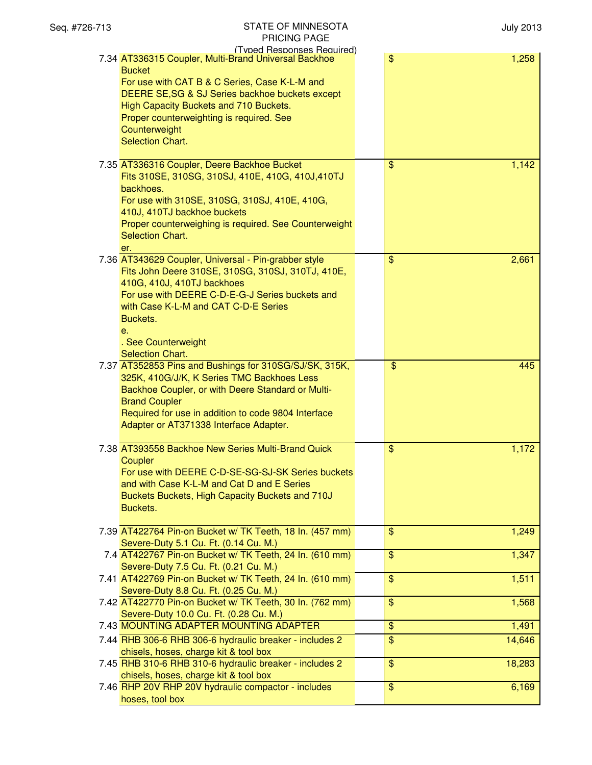| Seq. #726-713 | <b>STATE OF MINNESOTA</b><br>PRICING PAGE                                                                                                                                                                                                                                                                                                 |                | <b>July 2013</b> |
|---------------|-------------------------------------------------------------------------------------------------------------------------------------------------------------------------------------------------------------------------------------------------------------------------------------------------------------------------------------------|----------------|------------------|
|               | (Typed Responses Required)<br>7.34 AT336315 Coupler, Multi-Brand Universal Backhoe<br><b>Bucket</b><br>For use with CAT B & C Series, Case K-L-M and<br>DEERE SE, SG & SJ Series backhoe buckets except<br>High Capacity Buckets and 710 Buckets.<br>Proper counterweighting is required. See<br>Counterweight<br><b>Selection Chart.</b> | \$             | 1,258            |
|               | 7.35 AT336316 Coupler, Deere Backhoe Bucket<br>Fits 310SE, 310SG, 310SJ, 410E, 410G, 410J, 410TJ<br>backhoes.<br>For use with 310SE, 310SG, 310SJ, 410E, 410G,<br>410J, 410TJ backhoe buckets<br>Proper counterweighing is required. See Counterweight<br><b>Selection Chart.</b><br>er.                                                  | $\$\$          | 1,142            |
|               | 7.36 AT343629 Coupler, Universal - Pin-grabber style<br>Fits John Deere 310SE, 310SG, 310SJ, 310TJ, 410E,<br>410G, 410J, 410TJ backhoes<br>For use with DEERE C-D-E-G-J Series buckets and<br>with Case K-L-M and CAT C-D-E Series<br>Buckets.<br>e.<br>. See Counterweight<br>Selection Chart.                                           | $\frac{1}{2}$  | 2,661            |
|               | 7.37 AT352853 Pins and Bushings for 310SG/SJ/SK, 315K,<br>325K, 410G/J/K, K Series TMC Backhoes Less<br>Backhoe Coupler, or with Deere Standard or Multi-<br><b>Brand Coupler</b><br>Required for use in addition to code 9804 Interface<br>Adapter or AT371338 Interface Adapter.                                                        | \$             | 445              |
|               | 7.38 AT393558 Backhoe New Series Multi-Brand Quick<br>Coupler<br>For use with DEERE C-D-SE-SG-SJ-SK Series buckets<br>and with Case K-L-M and Cat D and E Series<br>Buckets Buckets, High Capacity Buckets and 710J<br>Buckets.                                                                                                           | \$             | 1,172            |
|               | 7.39 AT422764 Pin-on Bucket w/ TK Teeth, 18 In. (457 mm)<br>Severe-Duty 5.1 Cu. Ft. (0.14 Cu. M.)                                                                                                                                                                                                                                         | $\frac{1}{2}$  | 1,249            |
|               | 7.4 AT422767 Pin-on Bucket w/ TK Teeth, 24 In. (610 mm)<br>Severe-Duty 7.5 Cu. Ft. (0.21 Cu. M.)                                                                                                                                                                                                                                          | $\$\$          | 1,347            |
|               | 7.41 AT422769 Pin-on Bucket w/ TK Teeth, 24 In. (610 mm)                                                                                                                                                                                                                                                                                  | $\$\$          | 1,511            |
|               | Severe-Duty 8.8 Cu. Ft. (0.25 Cu. M.)<br>7.42 AT422770 Pin-on Bucket w/ TK Teeth, 30 In. (762 mm)<br>Severe-Duty 10.0 Cu. Ft. (0.28 Cu. M.)                                                                                                                                                                                               | $\$\$          | 1,568            |
|               | 7.43 MOUNTING ADAPTER MOUNTING ADAPTER                                                                                                                                                                                                                                                                                                    | \$             | 1,491            |
|               | 7.44 RHB 306-6 RHB 306-6 hydraulic breaker - includes 2<br>chisels, hoses, charge kit & tool box                                                                                                                                                                                                                                          | \$             | 14,646           |
|               | 7.45 RHB 310-6 RHB 310-6 hydraulic breaker - includes 2<br>chisels, hoses, charge kit & tool box                                                                                                                                                                                                                                          | $\mathfrak{S}$ | 18,283           |
|               | 7.46 RHP 20V RHP 20V hydraulic compactor - includes<br>hoses, tool box                                                                                                                                                                                                                                                                    | $\frac{1}{2}$  | 6,169            |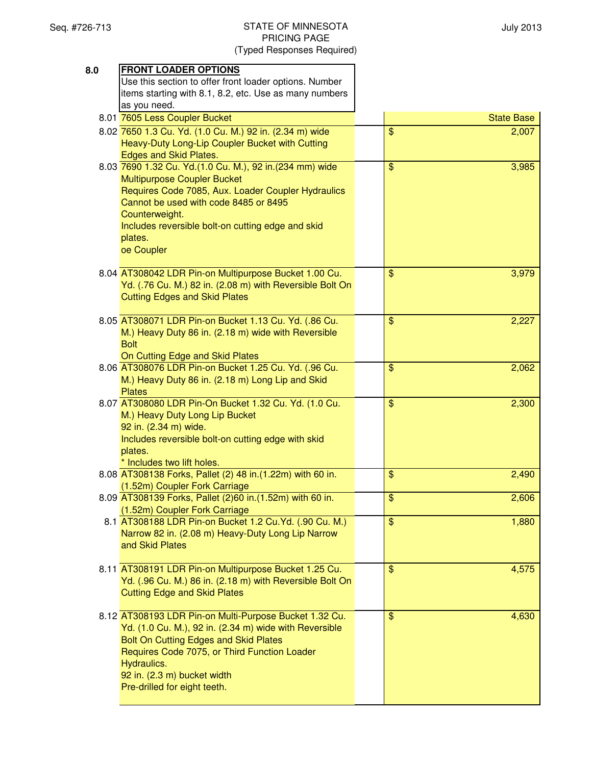| 8.0 | <b>FRONT LOADER OPTIONS</b>                               |                                  |
|-----|-----------------------------------------------------------|----------------------------------|
|     | Use this section to offer front loader options. Number    |                                  |
|     | items starting with 8.1, 8.2, etc. Use as many numbers    |                                  |
|     | as you need.                                              |                                  |
|     | 8.01 7605 Less Coupler Bucket                             | <b>State Base</b>                |
|     | 8.02 7650 1.3 Cu. Yd. (1.0 Cu. M.) 92 in. (2.34 m) wide   | $\frac{1}{2}$<br>2,007           |
|     | Heavy-Duty Long-Lip Coupler Bucket with Cutting           |                                  |
|     | Edges and Skid Plates.                                    |                                  |
|     | 8.03 7690 1.32 Cu. Yd.(1.0 Cu. M.), 92 in.(234 mm) wide   | $\mathbf{\$}$<br>3,985           |
|     | <b>Multipurpose Coupler Bucket</b>                        |                                  |
|     | Requires Code 7085, Aux. Loader Coupler Hydraulics        |                                  |
|     | Cannot be used with code 8485 or 8495                     |                                  |
|     | Counterweight.                                            |                                  |
|     | Includes reversible bolt-on cutting edge and skid         |                                  |
|     | plates.                                                   |                                  |
|     | oe Coupler                                                |                                  |
|     |                                                           |                                  |
|     | 8.04 AT308042 LDR Pin-on Multipurpose Bucket 1.00 Cu.     | \$<br>3,979                      |
|     | Yd. (.76 Cu. M.) 82 in. (2.08 m) with Reversible Bolt On  |                                  |
|     | <b>Cutting Edges and Skid Plates</b>                      |                                  |
|     |                                                           |                                  |
|     | 8.05 AT308071 LDR Pin-on Bucket 1.13 Cu. Yd. (.86 Cu.     | \$<br>2,227                      |
|     | M.) Heavy Duty 86 in. (2.18 m) wide with Reversible       |                                  |
|     | <b>Bolt</b>                                               |                                  |
|     | On Cutting Edge and Skid Plates                           |                                  |
|     | 8.06 AT308076 LDR Pin-on Bucket 1.25 Cu. Yd. (.96 Cu.     | $\mathfrak{S}$<br>2,062          |
|     | M.) Heavy Duty 86 in. (2.18 m) Long Lip and Skid          |                                  |
|     | <b>Plates</b>                                             |                                  |
|     | 8.07 AT308080 LDR Pin-On Bucket 1.32 Cu. Yd. (1.0 Cu.     | $\mathfrak{S}$<br>2,300          |
|     | M.) Heavy Duty Long Lip Bucket                            |                                  |
|     | 92 in. (2.34 m) wide.                                     |                                  |
|     | Includes reversible bolt-on cutting edge with skid        |                                  |
|     | plates.                                                   |                                  |
|     | * Includes two lift holes.                                |                                  |
|     | 8.08 AT308138 Forks, Pallet (2) 48 in.(1.22m) with 60 in. | \$<br>2,490                      |
|     | (1.52m) Coupler Fork Carriage                             |                                  |
|     | 8.09 AT308139 Forks, Pallet (2)60 in.(1.52m) with 60 in.  | $\overline{\mathbf{S}}$<br>2,606 |
|     | (1.52m) Coupler Fork Carriage                             | $\frac{1}{2}$                    |
|     | 8.1 AT308188 LDR Pin-on Bucket 1.2 Cu.Yd. (.90 Cu. M.)    | 1,880                            |
|     | Narrow 82 in. (2.08 m) Heavy-Duty Long Lip Narrow         |                                  |
|     | and Skid Plates                                           |                                  |
|     | 8.11 AT308191 LDR Pin-on Multipurpose Bucket 1.25 Cu.     | $\$\$<br>4,575                   |
|     | Yd. (.96 Cu. M.) 86 in. (2.18 m) with Reversible Bolt On  |                                  |
|     | <b>Cutting Edge and Skid Plates</b>                       |                                  |
|     |                                                           |                                  |
|     | 8.12 AT308193 LDR Pin-on Multi-Purpose Bucket 1.32 Cu.    | \$<br>4,630                      |
|     | Yd. (1.0 Cu. M.), 92 in. (2.34 m) wide with Reversible    |                                  |
|     | Bolt On Cutting Edges and Skid Plates                     |                                  |
|     | Requires Code 7075, or Third Function Loader              |                                  |
|     | Hydraulics.                                               |                                  |
|     | 92 in. (2.3 m) bucket width                               |                                  |
|     | Pre-drilled for eight teeth.                              |                                  |
|     |                                                           |                                  |
|     |                                                           |                                  |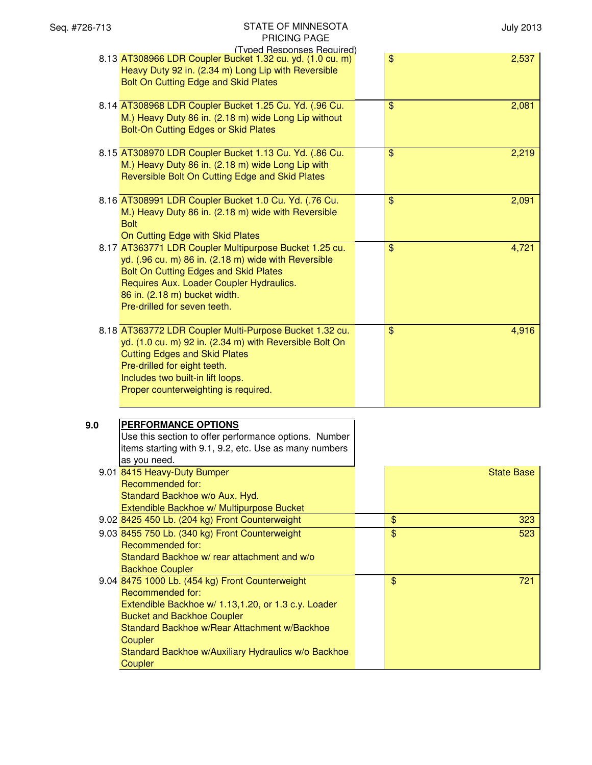| Seq. #726-713 | STATE OF MINNESOTA<br>PRICING PAGE                                                                                                                                                                                                                                                                  |               | <b>July 2013</b>  |
|---------------|-----------------------------------------------------------------------------------------------------------------------------------------------------------------------------------------------------------------------------------------------------------------------------------------------------|---------------|-------------------|
|               | (Typed Responses Required)<br>8.13 AT308966 LDR Coupler Bucket 1.32 cu. yd. (1.0 cu. m)<br>Heavy Duty 92 in. (2.34 m) Long Lip with Reversible<br>Bolt On Cutting Edge and Skid Plates                                                                                                              | $\frac{1}{2}$ | 2,537             |
|               | 8.14 AT308968 LDR Coupler Bucket 1.25 Cu. Yd. (.96 Cu.<br>M.) Heavy Duty 86 in. (2.18 m) wide Long Lip without<br>Bolt-On Cutting Edges or Skid Plates                                                                                                                                              | $\$\$         | 2,081             |
|               | 8.15 AT308970 LDR Coupler Bucket 1.13 Cu. Yd. (.86 Cu.<br>M.) Heavy Duty 86 in. (2.18 m) wide Long Lip with<br>Reversible Bolt On Cutting Edge and Skid Plates                                                                                                                                      | $\mathsf{\$}$ | 2,219             |
|               | 8.16 AT308991 LDR Coupler Bucket 1.0 Cu. Yd. (.76 Cu.<br>M.) Heavy Duty 86 in. (2.18 m) wide with Reversible<br><b>Bolt</b><br>On Cutting Edge with Skid Plates                                                                                                                                     | \$            | 2,091             |
|               | 8.17 AT363771 LDR Coupler Multipurpose Bucket 1.25 cu.<br>yd. (.96 cu. m) 86 in. (2.18 m) wide with Reversible<br>Bolt On Cutting Edges and Skid Plates<br>Requires Aux. Loader Coupler Hydraulics.<br>86 in. (2.18 m) bucket width.<br>Pre-drilled for seven teeth.                                | $\mathsf{\$}$ | 4,721             |
|               | 8.18 AT363772 LDR Coupler Multi-Purpose Bucket 1.32 cu.<br>yd. (1.0 cu. m) 92 in. (2.34 m) with Reversible Bolt On<br><b>Cutting Edges and Skid Plates</b><br>Pre-drilled for eight teeth.<br>Includes two built-in lift loops.<br>Proper counterweighting is required.                             | $\frac{1}{2}$ | 4,916             |
| 9.0           | PERFORMANCE OPTIONS<br>Use this section to offer performance options. Number<br>items starting with 9.1, 9.2, etc. Use as many numbers<br>as you need.                                                                                                                                              |               |                   |
|               | 9.01 8415 Heavy-Duty Bumper<br><b>Recommended for:</b><br>Standard Backhoe w/o Aux. Hyd.<br>Extendible Backhoe w/ Multipurpose Bucket                                                                                                                                                               |               | <b>State Base</b> |
|               | 9.02 8425 450 Lb. (204 kg) Front Counterweight                                                                                                                                                                                                                                                      | $\frac{1}{2}$ | 323               |
|               | 9.03 8455 750 Lb. (340 kg) Front Counterweight<br><b>Recommended for:</b><br>Standard Backhoe w/ rear attachment and w/o<br><b>Backhoe Coupler</b>                                                                                                                                                  | $\frac{1}{2}$ | 523               |
|               | 9.04 8475 1000 Lb. (454 kg) Front Counterweight<br><b>Recommended for:</b><br>Extendible Backhoe w/ 1.13,1.20, or 1.3 c.y. Loader<br><b>Bucket and Backhoe Coupler</b><br>Standard Backhoe w/Rear Attachment w/Backhoe<br>Coupler<br>Standard Backhoe w/Auxiliary Hydraulics w/o Backhoe<br>Coupler | $\frac{1}{2}$ | 721               |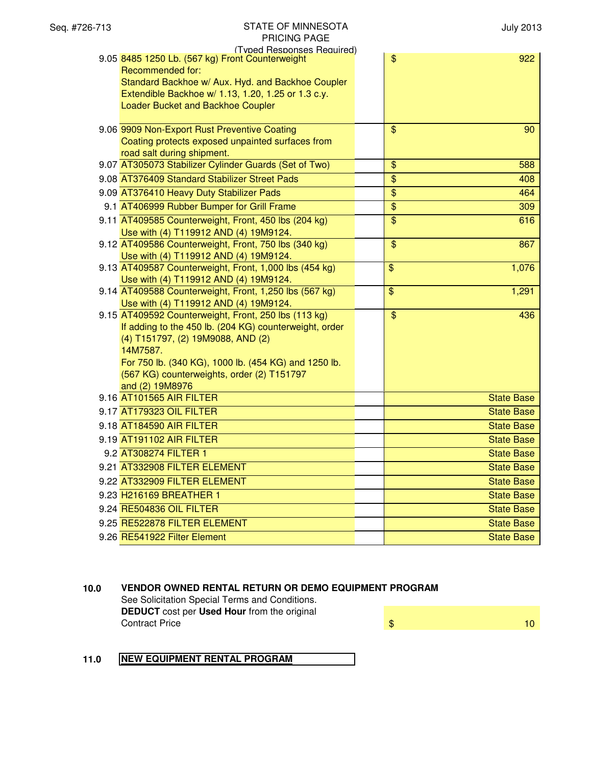| (Typed Responses Required)<br>9.05 8485 1250 Lb. (567 kg) Front Counterweight                   | \$                       | 922               |
|-------------------------------------------------------------------------------------------------|--------------------------|-------------------|
| Recommended for:                                                                                |                          |                   |
| Standard Backhoe w/ Aux. Hyd. and Backhoe Coupler                                               |                          |                   |
| Extendible Backhoe w/ 1.13, 1.20, 1.25 or 1.3 c.y.                                              |                          |                   |
| Loader Bucket and Backhoe Coupler                                                               |                          |                   |
| 9.06 9909 Non-Export Rust Preventive Coating                                                    | $\overline{\mathbf{S}}$  | 90                |
| Coating protects exposed unpainted surfaces from                                                |                          |                   |
| road salt during shipment.                                                                      |                          |                   |
| 9.07 AT305073 Stabilizer Cylinder Guards (Set of Two)                                           | \$                       | 588               |
| 9.08 AT376409 Standard Stabilizer Street Pads                                                   | \$                       | 408               |
| 9.09 AT376410 Heavy Duty Stabilizer Pads                                                        | $\overline{\$}$          | 464               |
| 9.1 AT406999 Rubber Bumper for Grill Frame                                                      | $\overline{\mathcal{S}}$ | 309               |
| 9.11 AT409585 Counterweight, Front, 450 lbs (204 kg)                                            | $\overline{\$}$          | 616               |
| Use with (4) T119912 AND (4) 19M9124.                                                           |                          |                   |
| 9.12 AT409586 Counterweight, Front, 750 lbs (340 kg)                                            | $\mathfrak{S}$           | 867               |
| Use with (4) T119912 AND (4) 19M9124.                                                           |                          |                   |
| 9.13 AT409587 Counterweight, Front, 1,000 lbs (454 kg)                                          | $\overline{\mathbf{S}}$  | 1,076             |
| Use with (4) T119912 AND (4) 19M9124.<br>9.14 AT409588 Counterweight, Front, 1,250 lbs (567 kg) | $\frac{1}{2}$            | 1,291             |
| Use with (4) T119912 AND (4) 19M9124.                                                           |                          |                   |
| 9.15 AT409592 Counterweight, Front, 250 lbs (113 kg)                                            | $\overline{\$}$          | 436               |
| If adding to the 450 lb. (204 KG) counterweight, order                                          |                          |                   |
| (4) T151797, (2) 19M9088, AND (2)                                                               |                          |                   |
| 14M7587.                                                                                        |                          |                   |
| For 750 lb. (340 KG), 1000 lb. (454 KG) and 1250 lb.                                            |                          |                   |
| (567 KG) counterweights, order (2) T151797                                                      |                          |                   |
| and (2) 19M8976                                                                                 |                          |                   |
| 9.16 AT101565 AIR FILTER                                                                        |                          | <b>State Base</b> |
| 9.17 AT179323 OIL FILTER                                                                        |                          | <b>State Base</b> |
| 9.18 AT184590 AIR FILTER                                                                        |                          | <b>State Base</b> |
| 9.19 AT191102 AIR FILTER                                                                        |                          | <b>State Base</b> |
| 9.2 AT308274 FILTER 1                                                                           |                          | <b>State Base</b> |
| 9.21 AT332908 FILTER ELEMENT                                                                    |                          | <b>State Base</b> |
| 9.22 AT332909 FILTER ELEMENT                                                                    |                          | <b>State Base</b> |
| 9.23 H216169 BREATHER 1                                                                         |                          | <b>State Base</b> |
| 9.24 RE504836 OIL FILTER                                                                        |                          | <b>State Base</b> |
| 9.25 RE522878 FILTER ELEMENT                                                                    |                          | <b>State Base</b> |
| 9.26 RE541922 Filter Element                                                                    |                          | <b>State Base</b> |

# **10.0 VENDOR OWNED RENTAL RETURN OR DEMO EQUIPMENT PROGRAM**

See Solicitation Special Terms and Conditions. **DEDUCT** cost per **Used Hour** from the original **Contract Price 10** 

# **11.0 NEW EQUIPMENT RENTAL PROGRAM**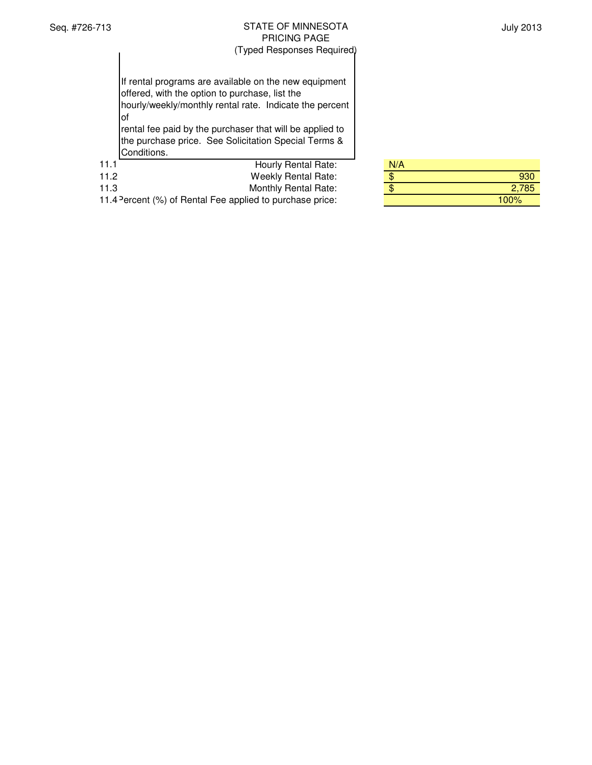July 2013

If rental programs are available on the new equipment offered, with the option to purchase, list the hourly/weekly/monthly rental rate. Indicate the percent of rental fee paid by the purchaser that will be applied to the purchase price. See Solicitation Special Terms &

Conditions.

| 11.1 | Hourly Rental Rate:         | N/A         |
|------|-----------------------------|-------------|
| 11.2 | <b>Weekly Rental Rate:</b>  | 930         |
| 11.3 | <b>Monthly Rental Rate:</b> | 2,785<br>\$ |

11.4 Percent (%) of Rental Fee applied to purchase price:

| N/A |       |
|-----|-------|
|     |       |
|     | 2,785 |
|     | 100%  |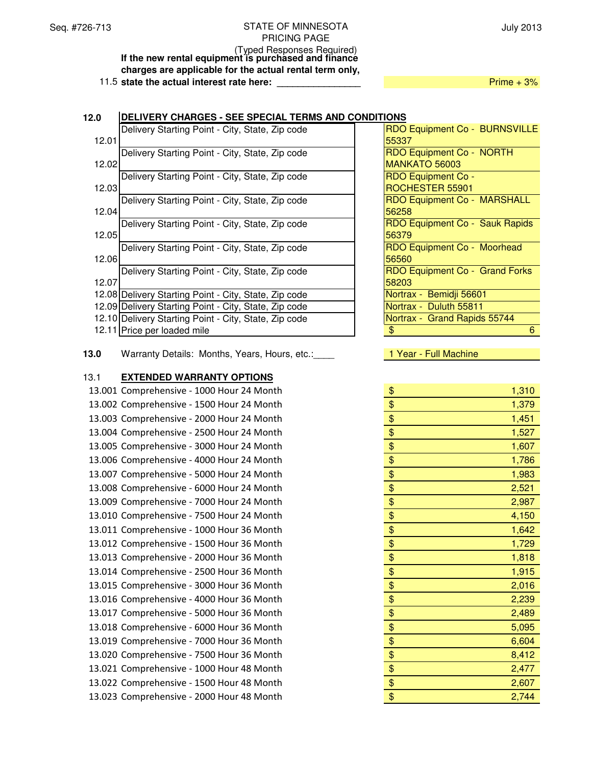July 2013

(Typed Responses Required) **If the new rental equipment is purchased and finance charges are applicable for the actual rental term only,**

11.5 **state the actual interest rate here:** *Prime + 3%* 

# 12.0 **DELIVERY CHARGES - SEE SPECIAL TERMS AND CONDIT** 12.01 Delivery Starting Point - City, State, Zip code 12.02 Delivery Starting Point - City, State, Zip code 12.03 Delivery Starting Point - City, State, Zip code 12.04 Delivery Starting Point - City, State, Zip code 12.05 Delivery Starting Point - City, State, Zip code 12.06 Delivery Starting Point - City, State, Zip code 12.07 Delivery Starting Point - City, State, Zip code 12.08 Delivery Starting Point - City, State, Zip code 12.09 Delivery Starting Point - City, State, Zip code 12.10 Delivery Starting Point - City, State, Zip code 12.11 Price per loaded mile

**13.0** Warranty Details: Months, Years, Hours, etc.:\_\_\_\_ 1 Year - Full Machine

### 13.1 **EXTENDED WARRANTY OPTIONS**

13.001 Comprehensive - 1000 Hour 24 Month 13.002 Comprehensive - 1500 Hour 24 Month 13.003 Comprehensive - 2000 Hour 24 Month 13.004 Comprehensive - 2500 Hour 24 Month 13.005 Comprehensive - 3000 Hour 24 Month 13.006 Comprehensive - 4000 Hour 24 Month 13.007 Comprehensive - 5000 Hour 24 Month 13.008 Comprehensive - 6000 Hour 24 Month 13.009 Comprehensive - 7000 Hour 24 Month 13.010 Comprehensive - 7500 Hour 24 Month 13.011 Comprehensive - 1000 Hour 36 Month 13.012 Comprehensive - 1500 Hour 36 Month 13.013 Comprehensive - 2000 Hour 36 Month 13.014 Comprehensive - 2500 Hour 36 Month 13.015 Comprehensive - 3000 Hour 36 Month 13.016 Comprehensive - 4000 Hour 36 Month 13.017 Comprehensive - 5000 Hour 36 Month 13.018 Comprehensive - 6000 Hour 36 Month 13.019 Comprehensive - 7000 Hour 36 Month 13.020 Comprehensive - 7500 Hour 36 Month 13.021 Comprehensive - 1000 Hour 48 Month 13.022 Comprehensive - 1500 Hour 48 Month 13.023 Comprehensive - 2000 Hour 48 Month

| TIONS                              |
|------------------------------------|
| RDO Equipment Co - BURNSVILLE      |
| 55337                              |
| RDO Equipment Co - NORTH           |
| MANKATO 56003                      |
| <b>RDO Equipment Co -</b>          |
| ROCHESTER 55901                    |
| <b>RDO Equipment Co - MARSHALL</b> |
| 56258                              |
| RDO Equipment Co - Sauk Rapids     |
| 56379                              |
| RDO Equipment Co - Moorhead        |
| 56560                              |
| RDO Equipment Co - Grand Forks     |
| 58203                              |
| Nortrax - Bemidji 56601            |
| Nortrax - Duluth 55811             |
| Nortrax - Grand Rapids 55744       |
| \$<br>6                            |
|                                    |

| \$<br>1,310 |
|-------------|
| \$<br>1,379 |
| \$<br>1,451 |
| \$<br>1,527 |
| \$<br>1,607 |
| \$<br>1,786 |
| \$<br>1,983 |
| \$<br>2,521 |
| \$<br>2,987 |
| \$<br>4,150 |
| \$<br>1,642 |
| \$<br>1,729 |
| \$<br>1,818 |
| \$<br>1,915 |
| \$<br>2,016 |
| \$<br>2,239 |
| \$<br>2,489 |
| \$<br>5,095 |
| \$<br>6,604 |
| \$<br>8,412 |
| \$<br>2,477 |
| \$<br>2,607 |
| \$<br>2,744 |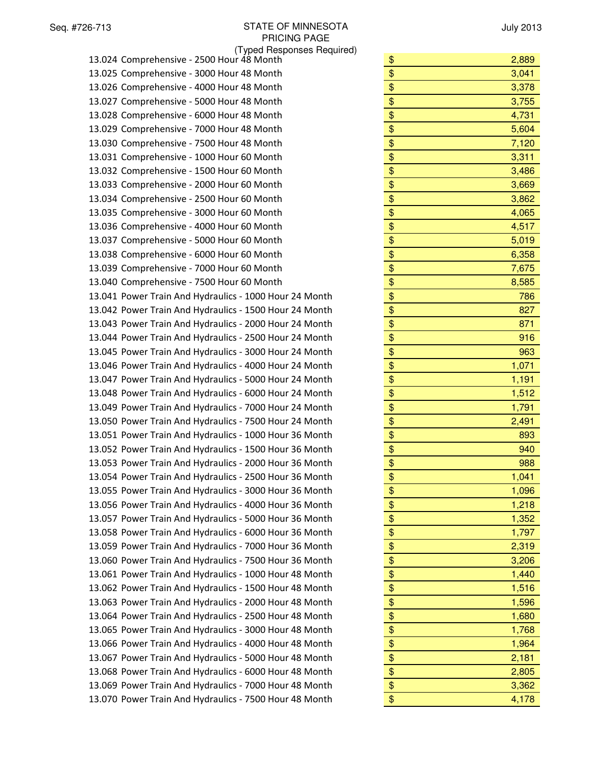| \$<br>2,889                                                                                                                                                                                                                                                                          |
|--------------------------------------------------------------------------------------------------------------------------------------------------------------------------------------------------------------------------------------------------------------------------------------|
| 3,041                                                                                                                                                                                                                                                                                |
| \$<br>3,378                                                                                                                                                                                                                                                                          |
| \$<br>3,755                                                                                                                                                                                                                                                                          |
| \$<br>4,731                                                                                                                                                                                                                                                                          |
| \$<br>5,604                                                                                                                                                                                                                                                                          |
| \$<br>7,120                                                                                                                                                                                                                                                                          |
| 3,311                                                                                                                                                                                                                                                                                |
| 3,486                                                                                                                                                                                                                                                                                |
| 3,669                                                                                                                                                                                                                                                                                |
| 3,862                                                                                                                                                                                                                                                                                |
| 4,065                                                                                                                                                                                                                                                                                |
| 4,517                                                                                                                                                                                                                                                                                |
| 5,019                                                                                                                                                                                                                                                                                |
| 6,358                                                                                                                                                                                                                                                                                |
| 7,675                                                                                                                                                                                                                                                                                |
| 8,585                                                                                                                                                                                                                                                                                |
| 786                                                                                                                                                                                                                                                                                  |
| 827                                                                                                                                                                                                                                                                                  |
| 871                                                                                                                                                                                                                                                                                  |
| 916                                                                                                                                                                                                                                                                                  |
| 963                                                                                                                                                                                                                                                                                  |
|                                                                                                                                                                                                                                                                                      |
| 1,071                                                                                                                                                                                                                                                                                |
| 1,191                                                                                                                                                                                                                                                                                |
| 1,512                                                                                                                                                                                                                                                                                |
| 1,791                                                                                                                                                                                                                                                                                |
| 2,491                                                                                                                                                                                                                                                                                |
| 893                                                                                                                                                                                                                                                                                  |
| 940                                                                                                                                                                                                                                                                                  |
| 988                                                                                                                                                                                                                                                                                  |
| 1,041                                                                                                                                                                                                                                                                                |
| 1,096                                                                                                                                                                                                                                                                                |
| 1,218                                                                                                                                                                                                                                                                                |
| 1,352                                                                                                                                                                                                                                                                                |
| 1,797                                                                                                                                                                                                                                                                                |
| 2,319                                                                                                                                                                                                                                                                                |
| 3,206                                                                                                                                                                                                                                                                                |
| 1,440                                                                                                                                                                                                                                                                                |
| \$<br>1,516                                                                                                                                                                                                                                                                          |
| 1,596                                                                                                                                                                                                                                                                                |
| \$<br>1,680                                                                                                                                                                                                                                                                          |
| 1,768                                                                                                                                                                                                                                                                                |
| \$<br>1,964                                                                                                                                                                                                                                                                          |
| \$<br>2,181                                                                                                                                                                                                                                                                          |
| \$<br>2,805                                                                                                                                                                                                                                                                          |
| \$<br>3,362                                                                                                                                                                                                                                                                          |
| \$<br>4,178                                                                                                                                                                                                                                                                          |
| \$<br>\$<br>\$<br>\$<br>\$<br>\$<br>\$<br>\$<br>\$<br>\$<br>\$<br>\$<br>\$<br>\$<br>\$<br>\$<br>\$<br>\$<br>\$<br>\$<br>\$<br>$\boldsymbol{\$}$<br>\$<br>\$<br>\$<br>\$<br>\$<br>\$<br>\$<br>$\frac{1}{2}$<br>$\overline{\$}$<br>$\boldsymbol{\$}$<br>\$<br>$\overline{\mathcal{L}}$ |

| \$       | 2,889          |
|----------|----------------|
| \$       | 3,041          |
| \$       | 3,378          |
| \$       | 3,755          |
| \$       | 4,731          |
| \$       | 5,604          |
| \$       | 7,120          |
| \$       | 3,311          |
| \$       | 3,486          |
| \$       | 3,669          |
| \$       | 3,862          |
| \$       | 4,065          |
| \$       | 4,517          |
| \$       | 5,019          |
| \$       | 6,358          |
| \$       | 7,675          |
| \$       | 8,585          |
| \$       | 786            |
| \$       | 827            |
| \$       | 871            |
| \$       | 916            |
| \$       | 963            |
| \$       | 1,071          |
| \$       | 1,191          |
| \$       | 1,512          |
| \$       | 1,791          |
| \$       | 2,491          |
| \$       | 893            |
| \$       | 940            |
| \$       | 988            |
| \$       | 1,041          |
| \$       | 1,096          |
| \$       | 1,218          |
| \$<br>\$ | 1,352          |
|          | 1,797          |
| \$       | 2,319          |
| \$       | 3,206          |
| \$<br>\$ | 1,440<br>1,516 |
| \$       | 1,596          |
| \$       |                |
| \$       | 1,680<br>1,768 |
| \$       | 1,964          |
| \$       | 2,181          |
| \$       |                |
| \$       | 2,805          |
| \$       | 3,362<br>4.178 |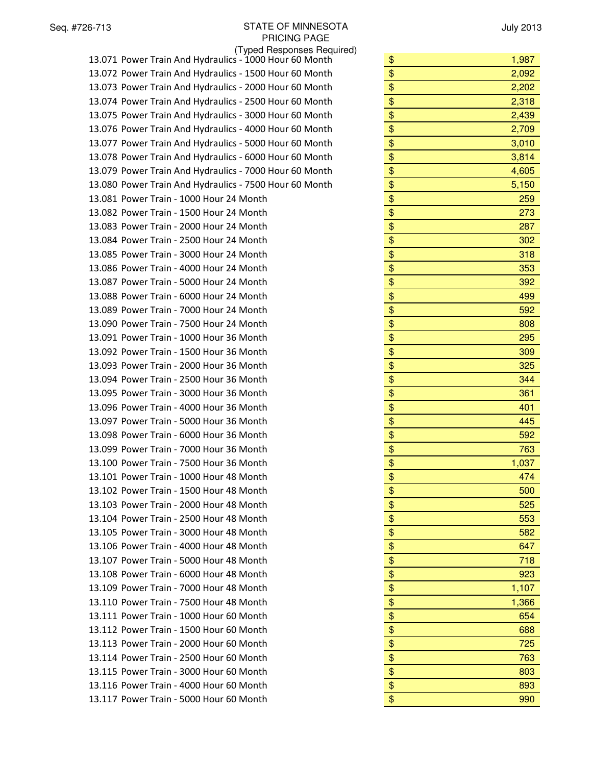July 2013

| (Typed Responses Required)                             |             |
|--------------------------------------------------------|-------------|
| 13.071 Power Train And Hydraulics - 1000 Hour 60 Month | \$<br>1,987 |
| 13.072 Power Train And Hydraulics - 1500 Hour 60 Month | \$<br>2,092 |
| 13.073 Power Train And Hydraulics - 2000 Hour 60 Month | \$<br>2,202 |
| 13.074 Power Train And Hydraulics - 2500 Hour 60 Month | \$<br>2,318 |
| 13.075 Power Train And Hydraulics - 3000 Hour 60 Month | \$<br>2,439 |
| 13.076 Power Train And Hydraulics - 4000 Hour 60 Month | \$<br>2,709 |
| 13.077 Power Train And Hydraulics - 5000 Hour 60 Month | \$<br>3,010 |
| 13.078 Power Train And Hydraulics - 6000 Hour 60 Month | \$<br>3,814 |
| 13.079 Power Train And Hydraulics - 7000 Hour 60 Month | \$<br>4,605 |
| 13.080 Power Train And Hydraulics - 7500 Hour 60 Month | \$<br>5,150 |
| 13.081 Power Train - 1000 Hour 24 Month                | \$<br>259   |
| 13.082 Power Train - 1500 Hour 24 Month                | \$<br>273   |
| 13.083 Power Train - 2000 Hour 24 Month                | \$<br>287   |
| 13.084 Power Train - 2500 Hour 24 Month                | \$<br>302   |
| 13.085 Power Train - 3000 Hour 24 Month                | \$<br>318   |
| 13.086 Power Train - 4000 Hour 24 Month                | \$<br>353   |
| 13.087 Power Train - 5000 Hour 24 Month                | \$<br>392   |
| 13.088 Power Train - 6000 Hour 24 Month                | \$<br>499   |
| 13.089 Power Train - 7000 Hour 24 Month                | \$<br>592   |
| 13.090 Power Train - 7500 Hour 24 Month                | \$<br>808   |
| 13.091 Power Train - 1000 Hour 36 Month                | \$<br>295   |
| 13.092 Power Train - 1500 Hour 36 Month                | \$<br>309   |
| 13.093 Power Train - 2000 Hour 36 Month                | \$<br>325   |
| 13.094 Power Train - 2500 Hour 36 Month                | \$<br>344   |
| 13.095 Power Train - 3000 Hour 36 Month                | \$<br>361   |
| 13.096 Power Train - 4000 Hour 36 Month                | \$<br>401   |
| 13.097 Power Train - 5000 Hour 36 Month                | \$<br>445   |
| 13.098 Power Train - 6000 Hour 36 Month                | \$<br>592   |
| 13.099 Power Train - 7000 Hour 36 Month                | \$<br>763   |
| 13.100 Power Train - 7500 Hour 36 Month                | \$<br>1,037 |
| 13.101 Power Train - 1000 Hour 48 Month                | \$<br>474   |
| 13.102 Power Train - 1500 Hour 48 Month                | \$<br>500   |
| 13.103 Power Train - 2000 Hour 48 Month                | \$<br>525   |
| 13.104 Power Train - 2500 Hour 48 Month                | \$<br>553   |
| 13.105 Power Train - 3000 Hour 48 Month                | \$<br>582   |
| 13.106 Power Train - 4000 Hour 48 Month                | \$<br>647   |
| 13.107 Power Train - 5000 Hour 48 Month                | \$<br>718   |
| 13.108 Power Train - 6000 Hour 48 Month                | \$<br>923   |
| 13.109 Power Train - 7000 Hour 48 Month                | \$<br>1,107 |
| 13.110 Power Train - 7500 Hour 48 Month                | \$<br>1,366 |
| 13.111 Power Train - 1000 Hour 60 Month                | \$<br>654   |
| 13.112 Power Train - 1500 Hour 60 Month                | \$<br>688   |
| 13.113 Power Train - 2000 Hour 60 Month                | \$<br>725   |
| 13.114 Power Train - 2500 Hour 60 Month                | \$<br>763   |
| 13.115 Power Train - 3000 Hour 60 Month                | \$<br>803   |
| 13.116 Power Train - 4000 Hour 60 Month                | \$<br>893   |
| 13.117 Power Train - 5000 Hour 60 Month                | \$<br>990   |

| \$       | 1,987        |
|----------|--------------|
| \$       | 2,092        |
| \$       | 2,202        |
| \$       | 2,318        |
| \$       | 2,439        |
| \$       | 2,709        |
| \$       | 3,010        |
| \$       | 3,814        |
| \$       | 4,605        |
| \$       | 5,150        |
| \$       | 259          |
| \$       | 273          |
| \$       | 287          |
| \$       | 302          |
| \$       | 318          |
| \$       | 353          |
| \$       | 392          |
| \$       | 499          |
| \$       | 592          |
| \$       | 808          |
| \$       | 295          |
| \$       | 309          |
| \$       | 325          |
| \$       | 344          |
| \$       | 361          |
| \$       | 401          |
| \$       | 445          |
| \$       | 592          |
| \$       | 763          |
| \$       | 1,037        |
| \$       | 474          |
| \$       | 500          |
| \$       | 525          |
| \$       | 553          |
| \$       | 582<br>647   |
| \$       |              |
| \$       | 718          |
| \$<br>\$ | 923<br>1,107 |
| \$       | 1,366        |
| \$       | 654          |
| \$       |              |
|          | 688          |
| \$<br>\$ | 725<br>763   |
| \$       | 803          |
| \$       | 893          |
| \$       | 990          |
|          |              |